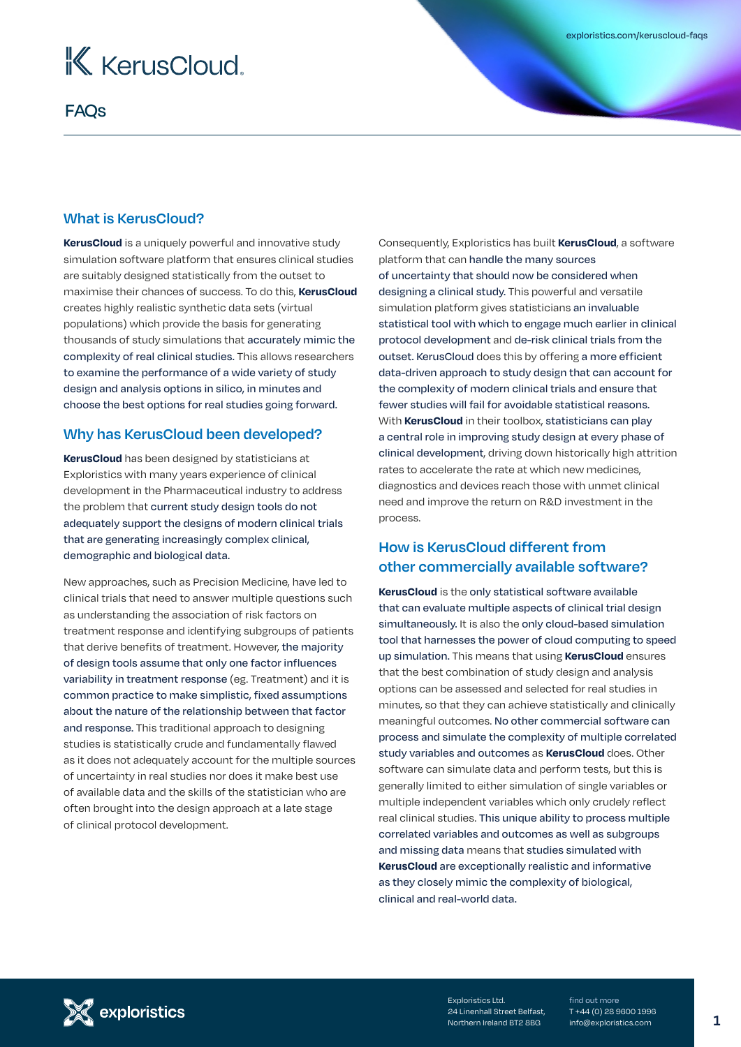

## FAQs

#### **What is KerusCloud?**

**KerusCloud** is a uniquely powerful and innovative study simulation software platform that ensures clinical studies are suitably designed statistically from the outset to maximise their chances of success. To do this, **KerusCloud** creates highly realistic synthetic data sets (virtual populations) which provide the basis for generating thousands of study simulations that accurately mimic the complexity of real clinical studies. This allows researchers to examine the performance of a wide variety of study design and analysis options in silico, in minutes and choose the best options for real studies going forward.

#### **Why has KerusCloud been developed?**

**KerusCloud** has been designed by statisticians at Exploristics with many years experience of clinical development in the Pharmaceutical industry to address the problem that current study design tools do not adequately support the designs of modern clinical trials that are generating increasingly complex clinical, demographic and biological data.

New approaches, such as Precision Medicine, have led to clinical trials that need to answer multiple questions such as understanding the association of risk factors on treatment response and identifying subgroups of patients that derive benefits of treatment. However, the majority of design tools assume that only one factor influences variability in treatment response (eg. Treatment) and it is common practice to make simplistic, fixed assumptions about the nature of the relationship between that factor and response. This traditional approach to designing studies is statistically crude and fundamentally flawed as it does not adequately account for the multiple sources of uncertainty in real studies nor does it make best use of available data and the skills of the statistician who are often brought into the design approach at a late stage of clinical protocol development.

Consequently, Exploristics has built **KerusCloud**, a software platform that can handle the many sources of uncertainty that should now be considered when designing a clinical study. This powerful and versatile simulation platform gives statisticians an invaluable statistical tool with which to engage much earlier in clinical protocol development and de-risk clinical trials from the outset. KerusCloud does this by offering a more efficient data-driven approach to study design that can account for the complexity of modern clinical trials and ensure that fewer studies will fail for avoidable statistical reasons. With **KerusCloud** in their toolbox, statisticians can play a central role in improving study design at every phase of clinical development, driving down historically high attrition rates to accelerate the rate at which new medicines, diagnostics and devices reach those with unmet clinical need and improve the return on R&D investment in the process.

## **How is KerusCloud different from other commercially available software?**

**KerusCloud** is the only statistical software available that can evaluate multiple aspects of clinical trial design simultaneously. It is also the only cloud-based simulation tool that harnesses the power of cloud computing to speed up simulation. This means that using **KerusCloud** ensures that the best combination of study design and analysis options can be assessed and selected for real studies in minutes, so that they can achieve statistically and clinically meaningful outcomes. No other commercial software can process and simulate the complexity of multiple correlated study variables and outcomes as **KerusCloud** does. Other software can simulate data and perform tests, but this is generally limited to either simulation of single variables or multiple independent variables which only crudely reflect real clinical studies. This unique ability to process multiple correlated variables and outcomes as well as subgroups and missing data means that studies simulated with **KerusCloud** are exceptionally realistic and informative as they closely mimic the complexity of biological, clinical and real-world data.



Exploristics Ltd. 24 Linenhall Street Belfast, Northern Ireland BT2 8BG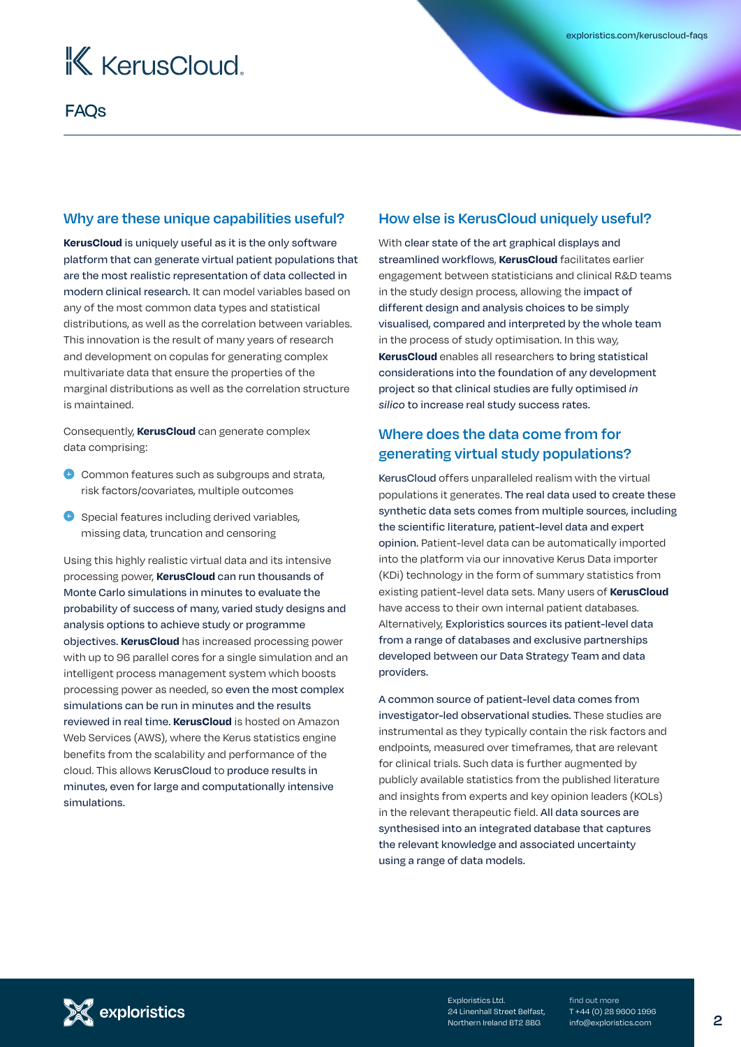

#### **Why are these unique capabilities useful?**

**KerusCloud** is uniquely useful as it is the only software platform that can generate virtual patient populations that are the most realistic representation of data collected in modern clinical research. It can model variables based on any of the most common data types and statistical distributions, as well as the correlation between variables. This innovation is the result of many years of research and development on copulas for generating complex multivariate data that ensure the properties of the marginal distributions as well as the correlation structure is maintained.

Consequently, **KerusCloud** can generate complex data comprising:

- Common features such as subgroups and strata, risk factors/covariates, multiple outcomes
- **O** Special features including derived variables, missing data, truncation and censoring

Using this highly realistic virtual data and its intensive processing power, **KerusCloud** can run thousands of Monte Carlo simulations in minutes to evaluate the probability of success of many, varied study designs and analysis options to achieve study or programme objectives. **KerusCloud** has increased processing power with up to 96 parallel cores for a single simulation and an intelligent process management system which boosts processing power as needed, so even the most complex simulations can be run in minutes and the results reviewed in real time. **KerusCloud** is hosted on Amazon Web Services (AWS), where the Kerus statistics engine benefits from the scalability and performance of the cloud. This allows KerusCloud to produce results in minutes, even for large and computationally intensive simulations.

#### **How else is KerusCloud uniquely useful?**

With clear state of the art graphical displays and streamlined workflows, **KerusCloud** facilitates earlier engagement between statisticians and clinical R&D teams in the study design process, allowing the impact of different design and analysis choices to be simply visualised, compared and interpreted by the whole team in the process of study optimisation. In this way, **KerusCloud** enables all researchers to bring statistical considerations into the foundation of any development project so that clinical studies are fully optimised *in silico* to increase real study success rates.

## **Where does the data come from for generating virtual study populations?**

KerusCloud offers unparalleled realism with the virtual populations it generates. The real data used to create these synthetic data sets comes from multiple sources, including the scientific literature, patient-level data and expert opinion. Patient-level data can be automatically imported into the platform via our innovative Kerus Data importer (KDi) technology in the form of summary statistics from existing patient-level data sets. Many users of **KerusCloud** have access to their own internal patient databases. Alternatively, Exploristics sources its patient-level data from a range of databases and exclusive partnerships developed between our Data Strategy Team and data providers.

A common source of patient-level data comes from investigator-led observational studies. These studies are instrumental as they typically contain the risk factors and endpoints, measured over timeframes, that are relevant for clinical trials. Such data is further augmented by publicly available statistics from the published literature and insights from experts and key opinion leaders (KOLs) in the relevant therapeutic field. All data sources are synthesised into an integrated database that captures the relevant knowledge and associated uncertainty using a range of data models.

Exploristics Ltd. 24 Linenhall Street Belfast, Northern Ireland BT2 8BG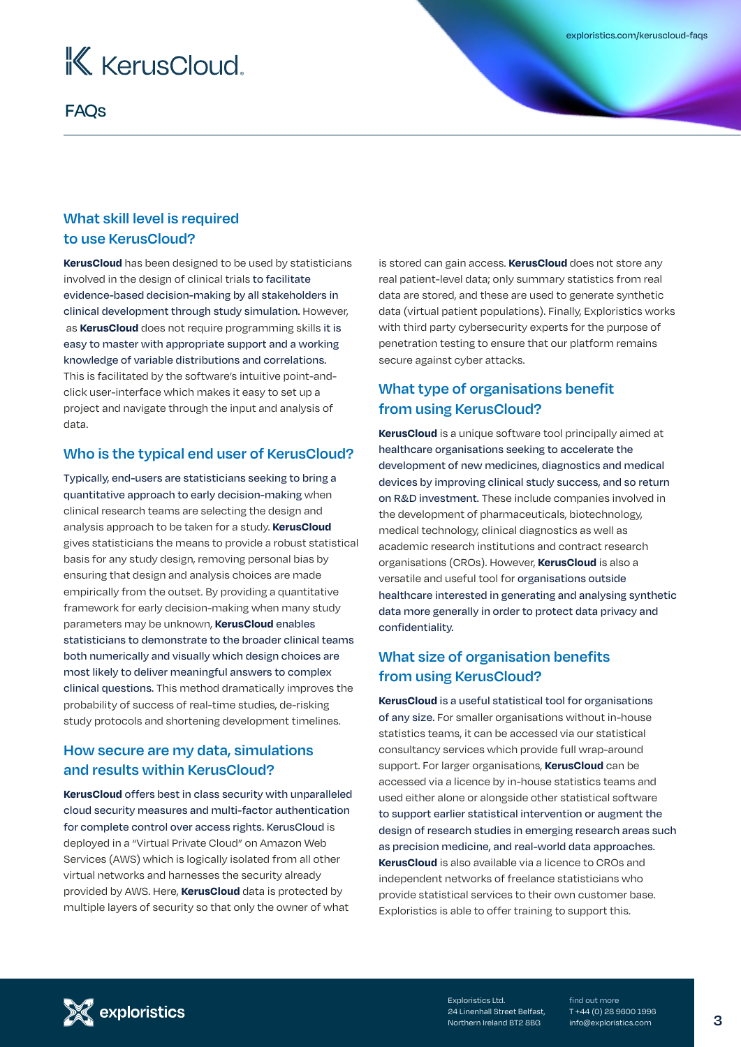

FAQs

### **What skill level is required to use KerusCloud?**

**KerusCloud** has been designed to be used by statisticians involved in the design of clinical trials to facilitate evidence-based decision-making by all stakeholders in clinical development through study simulation. However, as **KerusCloud** does not require programming skills it is easy to master with appropriate support and a working knowledge of variable distributions and correlations. This is facilitated by the software's intuitive point-andclick user-interface which makes it easy to set up a project and navigate through the input and analysis of data.

#### **Who is the typical end user of KerusCloud?**

Typically, end-users are statisticians seeking to bring a quantitative approach to early decision-making when clinical research teams are selecting the design and analysis approach to be taken for a study. **KerusCloud**  gives statisticians the means to provide a robust statistical basis for any study design, removing personal bias by ensuring that design and analysis choices are made empirically from the outset. By providing a quantitative framework for early decision-making when many study parameters may be unknown, **KerusCloud** enables statisticians to demonstrate to the broader clinical teams both numerically and visually which design choices are most likely to deliver meaningful answers to complex clinical questions. This method dramatically improves the probability of success of real-time studies, de-risking study protocols and shortening development timelines.

### **How secure are my data, simulations and results within KerusCloud?**

**KerusCloud** offers best in class security with unparalleled cloud security measures and multi-factor authentication for complete control over access rights. KerusCloud is deployed in a "Virtual Private Cloud" on Amazon Web Services (AWS) which is logically isolated from all other virtual networks and harnesses the security already provided by AWS. Here, **KerusCloud** data is protected by multiple layers of security so that only the owner of what

is stored can gain access. **KerusCloud** does not store any real patient-level data; only summary statistics from real data are stored, and these are used to generate synthetic data (virtual patient populations). Finally, Exploristics works with third party cybersecurity experts for the purpose of penetration testing to ensure that our platform remains secure against cyber attacks.

## **What type of organisations benefit from using KerusCloud?**

**KerusCloud** is a unique software tool principally aimed at healthcare organisations seeking to accelerate the development of new medicines, diagnostics and medical devices by improving clinical study success, and so return on R&D investment. These include companies involved in the development of pharmaceuticals, biotechnology, medical technology, clinical diagnostics as well as academic research institutions and contract research organisations (CROs). However, **KerusCloud** is also a versatile and useful tool for organisations outside healthcare interested in generating and analysing synthetic data more generally in order to protect data privacy and confidentiality.

## **What size of organisation benefits from using KerusCloud?**

**KerusCloud** is a useful statistical tool for organisations of any size. For smaller organisations without in-house statistics teams, it can be accessed via our statistical consultancy services which provide full wrap-around support. For larger organisations, **KerusCloud** can be accessed via a licence by in-house statistics teams and used either alone or alongside other statistical software to support earlier statistical intervention or augment the design of research studies in emerging research areas such as precision medicine, and real-world data approaches. **KerusCloud** is also available via a licence to CROs and independent networks of freelance statisticians who provide statistical services to their own customer base. Exploristics is able to offer training to support this.



Exploristics Ltd. 24 Linenhall Street Belfast, Northern Ireland BT2 8BG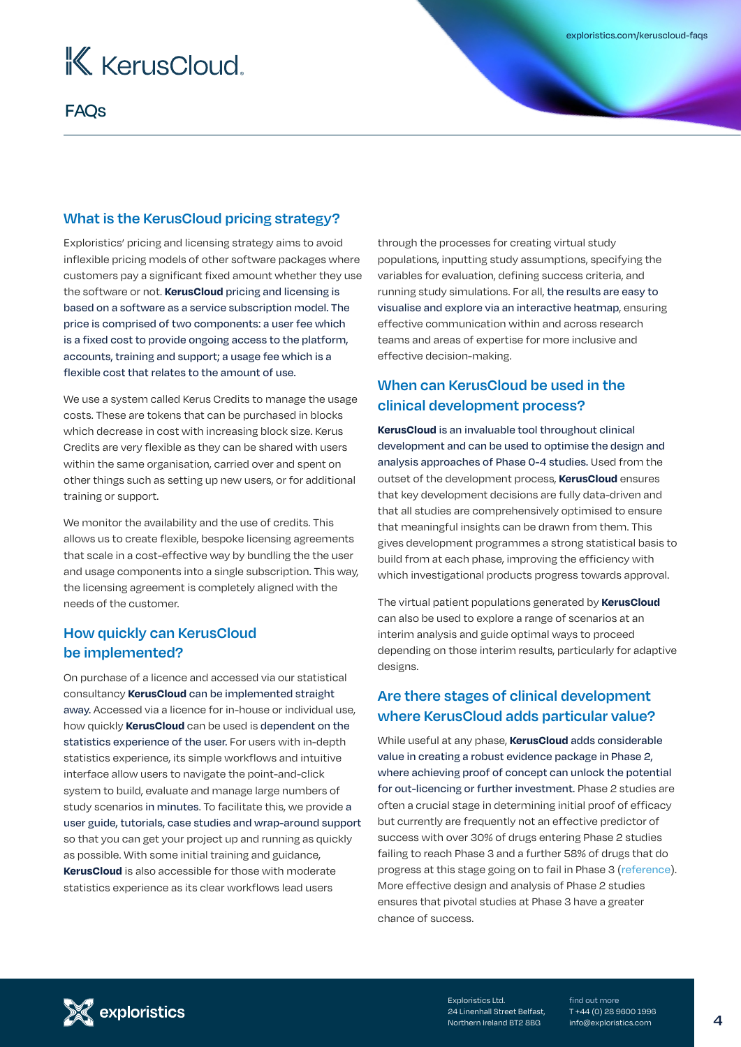

#### **What is the KerusCloud pricing strategy?**

Exploristics' pricing and licensing strategy aims to avoid inflexible pricing models of other software packages where customers pay a significant fixed amount whether they use the software or not. **KerusCloud** pricing and licensing is based on a software as a service subscription model. The price is comprised of two components: a user fee which is a fixed cost to provide ongoing access to the platform, accounts, training and support; a usage fee which is a flexible cost that relates to the amount of use.

We use a system called Kerus Credits to manage the usage costs. These are tokens that can be purchased in blocks which decrease in cost with increasing block size. Kerus Credits are very flexible as they can be shared with users within the same organisation, carried over and spent on other things such as setting up new users, or for additional training or support.

We monitor the availability and the use of credits. This allows us to create flexible, bespoke licensing agreements that scale in a cost-effective way by bundling the the user and usage components into a single subscription. This way, the licensing agreement is completely aligned with the needs of the customer.

## **How quickly can KerusCloud be implemented?**

On purchase of a licence and accessed via our statistical consultancy **KerusCloud** can be implemented straight away. Accessed via a licence for in-house or individual use, how quickly **KerusCloud** can be used is dependent on the statistics experience of the user. For users with in-depth statistics experience, its simple workflows and intuitive interface allow users to navigate the point-and-click system to build, evaluate and manage large numbers of study scenarios in minutes. To facilitate this, we provide a user guide, tutorials, case studies and wrap-around support so that you can get your project up and running as quickly as possible. With some initial training and guidance, **KerusCloud** is also accessible for those with moderate statistics experience as its clear workflows lead users

through the processes for creating virtual study populations, inputting study assumptions, specifying the variables for evaluation, defining success criteria, and running study simulations. For all, the results are easy to visualise and explore via an interactive heatmap, ensuring effective communication within and across research teams and areas of expertise for more inclusive and effective decision-making.

## **When can KerusCloud be used in the clinical development process?**

**KerusCloud** is an invaluable tool throughout clinical development and can be used to optimise the design and analysis approaches of Phase 0-4 studies. Used from the outset of the development process, **KerusCloud** ensures that key development decisions are fully data-driven and that all studies are comprehensively optimised to ensure that meaningful insights can be drawn from them. This gives development programmes a strong statistical basis to build from at each phase, improving the efficiency with which investigational products progress towards approval.

The virtual patient populations generated by **KerusCloud** can also be used to explore a range of scenarios at an interim analysis and guide optimal ways to proceed depending on those interim results, particularly for adaptive designs.

## **Are there stages of clinical development where KerusCloud adds particular value?**

While useful at any phase, **KerusCloud** adds considerable value in creating a robust evidence package in Phase 2, where achieving proof of concept can unlock the potential for out-licencing or further investment. Phase 2 studies are often a crucial stage in determining initial proof of efficacy but currently are frequently not an effective predictor of success with over 30% of drugs entering Phase 2 studies failing to reach Phase 3 and a further 58% of drugs that do progress at this stage going on to fail in Phase 3 ([reference](https://www.bio.org/sites/default/files/legacy/bioorg/docs/Clinical%20Development%20Success%20Rates%202006-2015%20-%20BIO,%20Biomedtracker,%20Amplion%202016.pdf)). More effective design and analysis of Phase 2 studies ensures that pivotal studies at Phase 3 have a greater chance of success.



Exploristics Ltd. 24 Linenhall Street Belfast, Northern Ireland BT2 8BG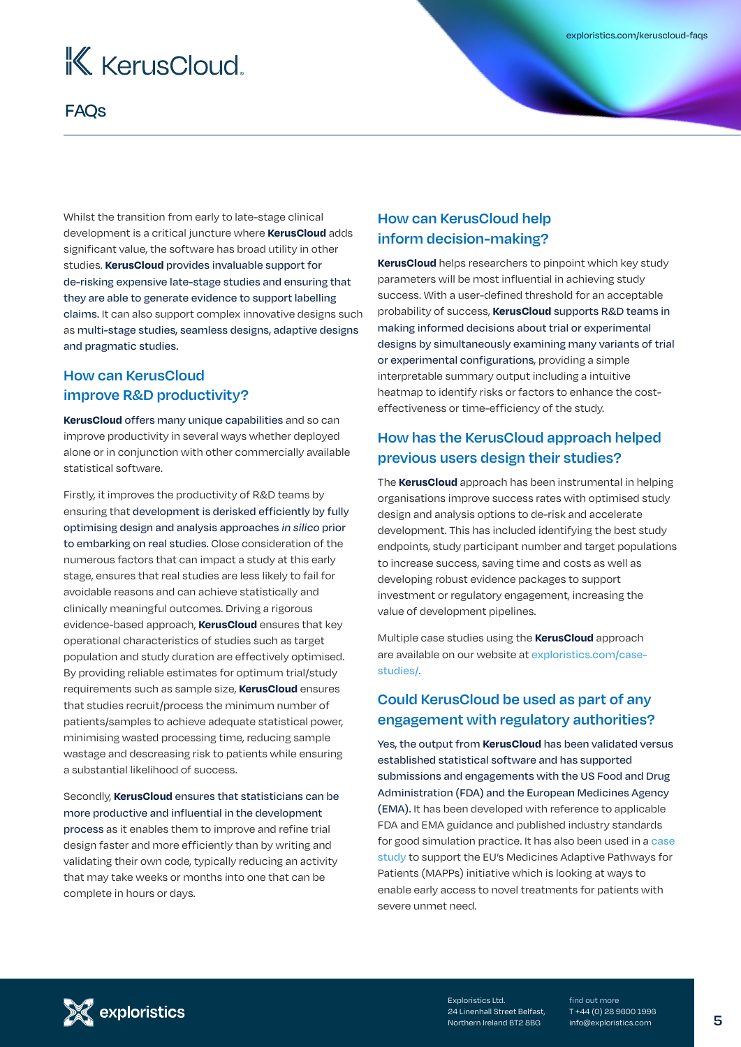# K KerusCloud.

## FAQs

Whilst the transition from early to late-stage clinical development is a critical juncture where **KerusCloud** adds significant value, the software has broad utility in other studies. **KerusCloud** provides invaluable support for de-risking expensive late-stage studies and ensuring that they are able to generate evidence to support labelling claims. It can also support complex innovative designs such as multi-stage studies, seamless designs, adaptive designs and pragmatic studies.

## **How can KerusCloud improve R&D productivity?**

**KerusCloud** offers many unique capabilities and so can improve productivity in several ways whether deployed alone or in conjunction with other commercially available statistical software.

Firstly, it improves the productivity of R&D teams by ensuring that development is derisked efficiently by fully optimising design and analysis approaches *in silico* prior to embarking on real studies. Close consideration of the numerous factors that can impact a study at this early stage, ensures that real studies are less likely to fail for avoidable reasons and can achieve statistically and clinically meaningful outcomes. Driving a rigorous evidence-based approach, **KerusCloud** ensures that key operational characteristics of studies such as target population and study duration are effectively optimised. By providing reliable estimates for optimum trial/study requirements such as sample size, **KerusCloud** ensures that studies recruit/process the minimum number of patients/samples to achieve adequate statistical power, minimising wasted processing time, reducing sample wastage and descreasing risk to patients while ensuring a substantial likelihood of success.

Secondly, **KerusCloud** ensures that statisticians can be more productive and influential in the development process as it enables them to improve and refine trial design faster and more efficiently than by writing and validating their own code, typically reducing an activity that may take weeks or months into one that can be complete in hours or days.

## **How can KerusCloud help inform decision-making?**

**KerusCloud** helps researchers to pinpoint which key study parameters will be most influential in achieving study success. With a user-defined threshold for an acceptable probability of success, **KerusCloud** supports R&D teams in making informed decisions about trial or experimental designs by simultaneously examining many variants of trial or experimental configurations, providing a simple interpretable summary output including a intuitive heatmap to identify risks or factors to enhance the costeffectiveness or time-efficiency of the study.

## **How has the KerusCloud approach helped previous users design their studies?**

The **KerusCloud** approach has been instrumental in helping organisations improve success rates with optimised study design and analysis options to de-risk and accelerate development. This has included identifying the best study endpoints, study participant number and target populations to increase success, saving time and costs as well as developing robust evidence packages to support investment or regulatory engagement, increasing the value of development pipelines.

Multiple case studies using the **KerusCloud** approach are available on our website at [exploristics.com/case](http://exploristics.com/case-studies/)[studies/](http://exploristics.com/case-studies/).

## **Could KerusCloud be used as part of any engagement with regulatory authorities?**

Yes, the output from **KerusCloud** has been validated versus established statistical software and has supported submissions and engagements with the US Food and Drug Administration (FDA) and the European Medicines Agency (EMA). It has been developed with reference to applicable FDA and EMA guidance and published industry standards for good simulation practice. It has also been used in a [case](https://exploristics.com/identifying-best-strategy-case-study/)  [study](https://exploristics.com/identifying-best-strategy-case-study/) to support the EU's Medicines Adaptive Pathways for Patients (MAPPs) initiative which is looking at ways to enable early access to novel treatments for patients with severe unmet need.



Exploristics Ltd. 24 Linenhall Street Belfast, Northern Ireland BT2 8BG